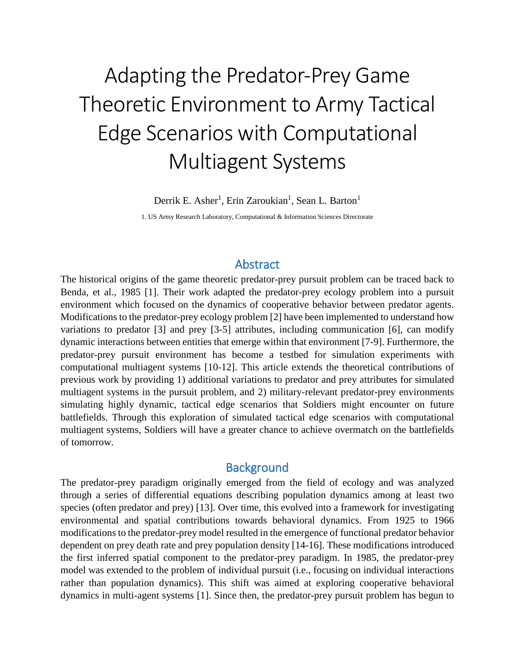# Adapting the Predator-Prey Game Theoretic Environment to Army Tactical Edge Scenarios with Computational Multiagent Systems

Derrik E. Asher<sup>1</sup>, Erin Zaroukian<sup>1</sup>, Sean L. Barton<sup>1</sup>

1. US Army Research Laboratory, Computational & Information Sciences Directorate

## **Abstract**

The historical origins of the game theoretic predator-prey pursuit problem can be traced back to Benda, et al., 1985 [1]. Their work adapted the predator-prey ecology problem into a pursuit environment which focused on the dynamics of cooperative behavior between predator agents. Modifications to the predator-prey ecology problem [2] have been implemented to understand how variations to predator [3] and prey [3-5] attributes, including communication [6], can modify dynamic interactions between entities that emerge within that environment [7-9]. Furthermore, the predator-prey pursuit environment has become a testbed for simulation experiments with computational multiagent systems [10-12]. This article extends the theoretical contributions of previous work by providing 1) additional variations to predator and prey attributes for simulated multiagent systems in the pursuit problem, and 2) military-relevant predator-prey environments simulating highly dynamic, tactical edge scenarios that Soldiers might encounter on future battlefields. Through this exploration of simulated tactical edge scenarios with computational multiagent systems, Soldiers will have a greater chance to achieve overmatch on the battlefields of tomorrow.

# **Background**

The predator-prey paradigm originally emerged from the field of ecology and was analyzed through a series of differential equations describing population dynamics among at least two species (often predator and prey) [13]. Over time, this evolved into a framework for investigating environmental and spatial contributions towards behavioral dynamics. From 1925 to 1966 modifications to the predator-prey model resulted in the emergence of functional predator behavior dependent on prey death rate and prey population density [14-16]. These modifications introduced the first inferred spatial component to the predator-prey paradigm. In 1985, the predator-prey model was extended to the problem of individual pursuit (i.e., focusing on individual interactions rather than population dynamics). This shift was aimed at exploring cooperative behavioral dynamics in multi-agent systems [1]. Since then, the predator-prey pursuit problem has begun to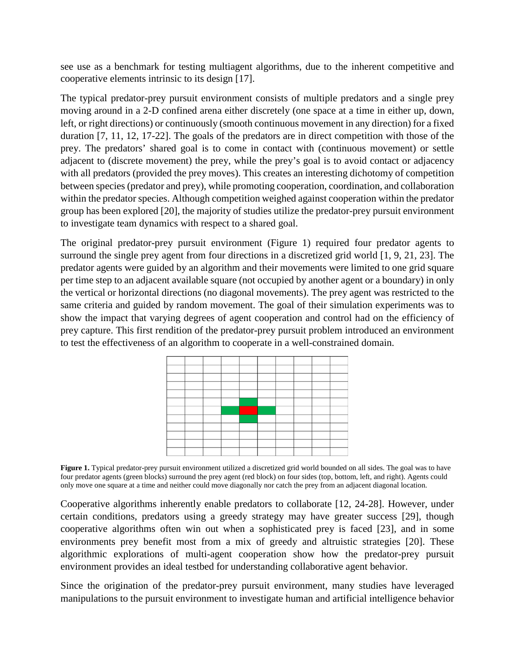see use as a benchmark for testing multiagent algorithms, due to the inherent competitive and cooperative elements intrinsic to its design [17].

The typical predator-prey pursuit environment consists of multiple predators and a single prey moving around in a 2-D confined arena either discretely (one space at a time in either up, down, left, or right directions) or continuously (smooth continuous movement in any direction) for a fixed duration [7, 11, 12, 17-22]. The goals of the predators are in direct competition with those of the prey. The predators' shared goal is to come in contact with (continuous movement) or settle adjacent to (discrete movement) the prey, while the prey's goal is to avoid contact or adjacency with all predators (provided the prey moves). This creates an interesting dichotomy of competition between species (predator and prey), while promoting cooperation, coordination, and collaboration within the predator species. Although competition weighed against cooperation within the predator group has been explored [20], the majority of studies utilize the predator-prey pursuit environment to investigate team dynamics with respect to a shared goal.

The original predator-prey pursuit environment (Figure 1) required four predator agents to surround the single prey agent from four directions in a discretized grid world [1, 9, 21, 23]. The predator agents were guided by an algorithm and their movements were limited to one grid square per time step to an adjacent available square (not occupied by another agent or a boundary) in only the vertical or horizontal directions (no diagonal movements). The prey agent was restricted to the same criteria and guided by random movement. The goal of their simulation experiments was to show the impact that varying degrees of agent cooperation and control had on the efficiency of prey capture. This first rendition of the predator-prey pursuit problem introduced an environment to test the effectiveness of an algorithm to cooperate in a well-constrained domain.



Figure 1. Typical predator-prey pursuit environment utilized a discretized grid world bounded on all sides. The goal was to have four predator agents (green blocks) surround the prey agent (red block) on four sides (top, bottom, left, and right). Agents could only move one square at a time and neither could move diagonally nor catch the prey from an adjacent diagonal location.

<span id="page-1-0"></span>Cooperative algorithms inherently enable predators to collaborate [12, 24-28]. However, under certain conditions, predators using a greedy strategy may have greater success [29], though cooperative algorithms often win out when a sophisticated prey is faced [23], and in some environments prey benefit most from a mix of greedy and altruistic strategies [20]. These algorithmic explorations of multi-agent cooperation show how the predator-prey pursuit environment provides an ideal testbed for understanding collaborative agent behavior.

Since the origination of the predator-prey pursuit environment, many studies have leveraged manipulations to the pursuit environment to investigate human and artificial intelligence behavior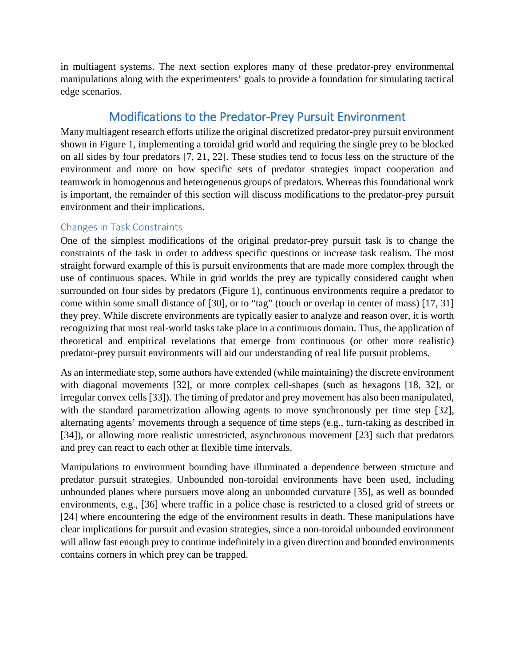in multiagent systems. The next section explores many of these predator-prey environmental manipulations along with the experimenters' goals to provide a foundation for simulating tactical edge scenarios.

# Modifications to the Predator-Prey Pursuit Environment

Many multiagent research efforts utilize the original discretized predator-prey pursuit environment shown in [Figure 1,](#page-1-0) implementing a toroidal grid world and requiring the single prey to be blocked on all sides by four predators [7, 21, 22]. These studies tend to focus less on the structure of the environment and more on how specific sets of predator strategies impact cooperation and teamwork in homogenous and heterogeneous groups of predators. Whereas this foundational work is important, the remainder of this section will discuss modifications to the predator-prey pursuit environment and their implications.

## Changes in Task Constraints

One of the simplest modifications of the original predator-prey pursuit task is to change the constraints of the task in order to address specific questions or increase task realism. The most straight forward example of this is pursuit environments that are made more complex through the use of continuous spaces. While in grid worlds the prey are typically considered caught when surrounded on four sides by predators (Figure 1), continuous environments require a predator to come within some small distance of [30], or to "tag" (touch or overlap in center of mass) [17, 31] they prey. While discrete environments are typically easier to analyze and reason over, it is worth recognizing that most real-world tasks take place in a continuous domain. Thus, the application of theoretical and empirical revelations that emerge from continuous (or other more realistic) predator-prey pursuit environments will aid our understanding of real life pursuit problems.

As an intermediate step, some authors have extended (while maintaining) the discrete environment with diagonal movements [32], or more complex cell-shapes (such as hexagons [18, 32], or irregular convex cells [33]). The timing of predator and prey movement has also been manipulated, with the standard parametrization allowing agents to move synchronously per time step [32], alternating agents' movements through a sequence of time steps (e.g., turn-taking as described in [34]), or allowing more realistic unrestricted, asynchronous movement [23] such that predators and prey can react to each other at flexible time intervals.

Manipulations to environment bounding have illuminated a dependence between structure and predator pursuit strategies. Unbounded non-toroidal environments have been used, including unbounded planes where pursuers move along an unbounded curvature [35], as well as bounded environments, e.g., [36] where traffic in a police chase is restricted to a closed grid of streets or [24] where encountering the edge of the environment results in death. These manipulations have clear implications for pursuit and evasion strategies, since a non-toroidal unbounded environment will allow fast enough prey to continue indefinitely in a given direction and bounded environments contains corners in which prey can be trapped.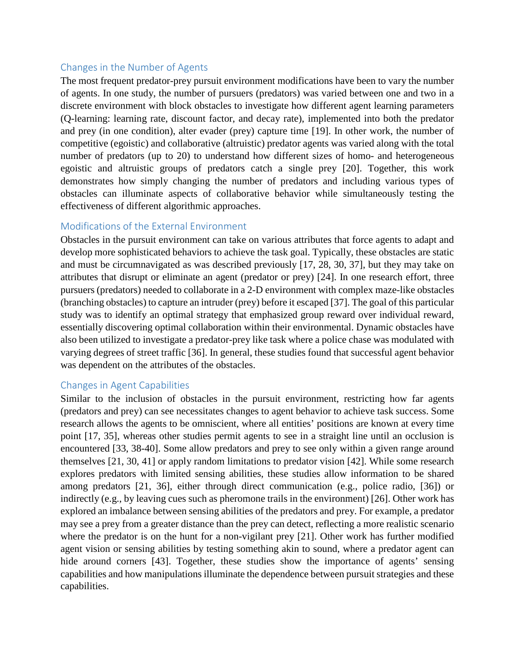#### Changes in the Number of Agents

The most frequent predator-prey pursuit environment modifications have been to vary the number of agents. In one study, the number of pursuers (predators) was varied between one and two in a discrete environment with block obstacles to investigate how different agent learning parameters (Q-learning: learning rate, discount factor, and decay rate), implemented into both the predator and prey (in one condition), alter evader (prey) capture time [19]. In other work, the number of competitive (egoistic) and collaborative (altruistic) predator agents was varied along with the total number of predators (up to 20) to understand how different sizes of homo- and heterogeneous egoistic and altruistic groups of predators catch a single prey [20]. Together, this work demonstrates how simply changing the number of predators and including various types of obstacles can illuminate aspects of collaborative behavior while simultaneously testing the effectiveness of different algorithmic approaches.

#### Modifications of the External Environment

Obstacles in the pursuit environment can take on various attributes that force agents to adapt and develop more sophisticated behaviors to achieve the task goal. Typically, these obstacles are static and must be circumnavigated as was described previously [17, 28, 30, 37], but they may take on attributes that disrupt or eliminate an agent (predator or prey) [24]. In one research effort, three pursuers (predators) needed to collaborate in a 2-D environment with complex maze-like obstacles (branching obstacles) to capture an intruder (prey) before it escaped [37]. The goal of this particular study was to identify an optimal strategy that emphasized group reward over individual reward, essentially discovering optimal collaboration within their environmental. Dynamic obstacles have also been utilized to investigate a predator-prey like task where a police chase was modulated with varying degrees of street traffic [36]. In general, these studies found that successful agent behavior was dependent on the attributes of the obstacles.

#### Changes in Agent Capabilities

Similar to the inclusion of obstacles in the pursuit environment, restricting how far agents (predators and prey) can see necessitates changes to agent behavior to achieve task success. Some research allows the agents to be omniscient, where all entities' positions are known at every time point [17, 35], whereas other studies permit agents to see in a straight line until an occlusion is encountered [33, 38-40]. Some allow predators and prey to see only within a given range around themselves [21, 30, 41] or apply random limitations to predator vision [42]. While some research explores predators with limited sensing abilities, these studies allow information to be shared among predators [21, 36], either through direct communication (e.g., police radio, [36]) or indirectly (e.g., by leaving cues such as pheromone trails in the environment) [26]. Other work has explored an imbalance between sensing abilities of the predators and prey. For example, a predator may see a prey from a greater distance than the prey can detect, reflecting a more realistic scenario where the predator is on the hunt for a non-vigilant prey [21]. Other work has further modified agent vision or sensing abilities by testing something akin to sound, where a predator agent can hide around corners [43]. Together, these studies show the importance of agents' sensing capabilities and how manipulations illuminate the dependence between pursuit strategies and these capabilities.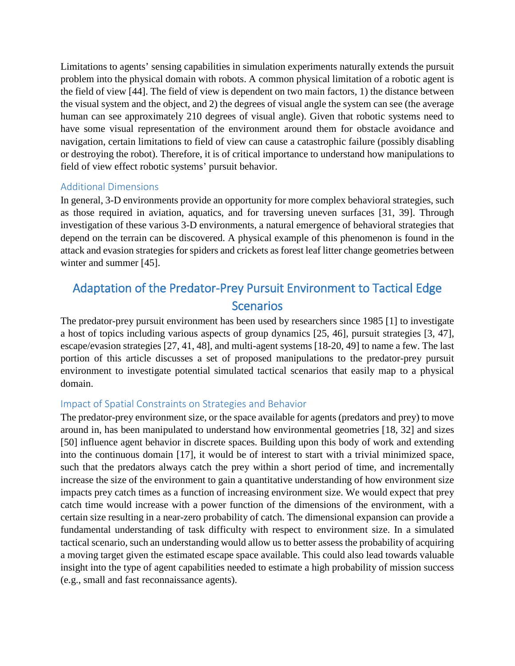Limitations to agents' sensing capabilities in simulation experiments naturally extends the pursuit problem into the physical domain with robots. A common physical limitation of a robotic agent is the field of view [44]. The field of view is dependent on two main factors, 1) the distance between the visual system and the object, and 2) the degrees of visual angle the system can see (the average human can see approximately 210 degrees of visual angle). Given that robotic systems need to have some visual representation of the environment around them for obstacle avoidance and navigation, certain limitations to field of view can cause a catastrophic failure (possibly disabling or destroying the robot). Therefore, it is of critical importance to understand how manipulations to field of view effect robotic systems' pursuit behavior.

#### Additional Dimensions

In general, 3-D environments provide an opportunity for more complex behavioral strategies, such as those required in aviation, aquatics, and for traversing uneven surfaces [31, 39]. Through investigation of these various 3-D environments, a natural emergence of behavioral strategies that depend on the terrain can be discovered. A physical example of this phenomenon is found in the attack and evasion strategies for spiders and crickets as forest leaf litter change geometries between winter and summer [45].

# Adaptation of the Predator-Prey Pursuit Environment to Tactical Edge **Scenarios**

The predator-prey pursuit environment has been used by researchers since 1985 [1] to investigate a host of topics including various aspects of group dynamics [25, 46], pursuit strategies [3, 47], escape/evasion strategies [27, 41, 48], and multi-agent systems [18-20, 49] to name a few. The last portion of this article discusses a set of proposed manipulations to the predator-prey pursuit environment to investigate potential simulated tactical scenarios that easily map to a physical domain.

#### Impact of Spatial Constraints on Strategies and Behavior

The predator-prey environment size, or the space available for agents (predators and prey) to move around in, has been manipulated to understand how environmental geometries [18, 32] and sizes [50] influence agent behavior in discrete spaces. Building upon this body of work and extending into the continuous domain [17], it would be of interest to start with a trivial minimized space, such that the predators always catch the prey within a short period of time, and incrementally increase the size of the environment to gain a quantitative understanding of how environment size impacts prey catch times as a function of increasing environment size. We would expect that prey catch time would increase with a power function of the dimensions of the environment, with a certain size resulting in a near-zero probability of catch. The dimensional expansion can provide a fundamental understanding of task difficulty with respect to environment size. In a simulated tactical scenario, such an understanding would allow us to better assess the probability of acquiring a moving target given the estimated escape space available. This could also lead towards valuable insight into the type of agent capabilities needed to estimate a high probability of mission success (e.g., small and fast reconnaissance agents).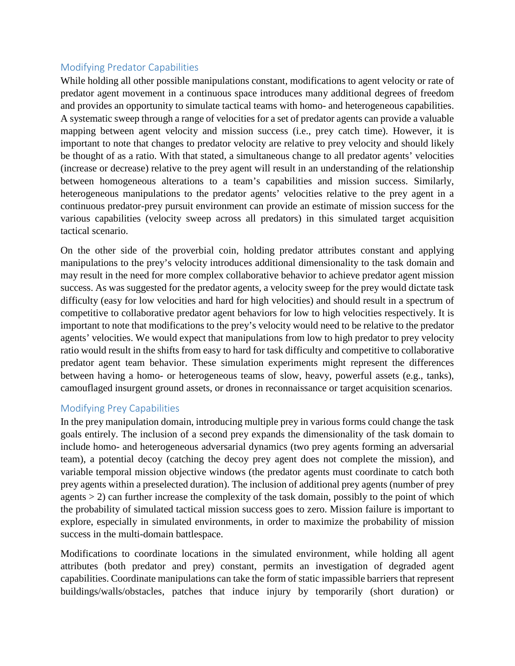## Modifying Predator Capabilities

While holding all other possible manipulations constant, modifications to agent velocity or rate of predator agent movement in a continuous space introduces many additional degrees of freedom and provides an opportunity to simulate tactical teams with homo- and heterogeneous capabilities. A systematic sweep through a range of velocities for a set of predator agents can provide a valuable mapping between agent velocity and mission success (i.e., prey catch time). However, it is important to note that changes to predator velocity are relative to prey velocity and should likely be thought of as a ratio. With that stated, a simultaneous change to all predator agents' velocities (increase or decrease) relative to the prey agent will result in an understanding of the relationship between homogeneous alterations to a team's capabilities and mission success. Similarly, heterogeneous manipulations to the predator agents' velocities relative to the prey agent in a continuous predator-prey pursuit environment can provide an estimate of mission success for the various capabilities (velocity sweep across all predators) in this simulated target acquisition tactical scenario.

On the other side of the proverbial coin, holding predator attributes constant and applying manipulations to the prey's velocity introduces additional dimensionality to the task domain and may result in the need for more complex collaborative behavior to achieve predator agent mission success. As was suggested for the predator agents, a velocity sweep for the prey would dictate task difficulty (easy for low velocities and hard for high velocities) and should result in a spectrum of competitive to collaborative predator agent behaviors for low to high velocities respectively. It is important to note that modifications to the prey's velocity would need to be relative to the predator agents' velocities. We would expect that manipulations from low to high predator to prey velocity ratio would result in the shifts from easy to hard for task difficulty and competitive to collaborative predator agent team behavior. These simulation experiments might represent the differences between having a homo- or heterogeneous teams of slow, heavy, powerful assets (e.g., tanks), camouflaged insurgent ground assets, or drones in reconnaissance or target acquisition scenarios.

#### Modifying Prey Capabilities

In the prey manipulation domain, introducing multiple prey in various forms could change the task goals entirely. The inclusion of a second prey expands the dimensionality of the task domain to include homo- and heterogeneous adversarial dynamics (two prey agents forming an adversarial team), a potential decoy (catching the decoy prey agent does not complete the mission), and variable temporal mission objective windows (the predator agents must coordinate to catch both prey agents within a preselected duration). The inclusion of additional prey agents (number of prey agents > 2) can further increase the complexity of the task domain, possibly to the point of which the probability of simulated tactical mission success goes to zero. Mission failure is important to explore, especially in simulated environments, in order to maximize the probability of mission success in the multi-domain battlespace.

Modifications to coordinate locations in the simulated environment, while holding all agent attributes (both predator and prey) constant, permits an investigation of degraded agent capabilities. Coordinate manipulations can take the form of static impassible barriers that represent buildings/walls/obstacles, patches that induce injury by temporarily (short duration) or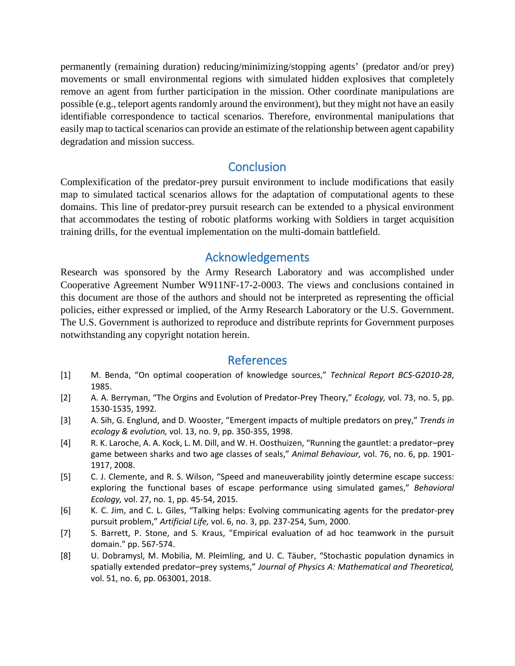permanently (remaining duration) reducing/minimizing/stopping agents' (predator and/or prey) movements or small environmental regions with simulated hidden explosives that completely remove an agent from further participation in the mission. Other coordinate manipulations are possible (e.g., teleport agents randomly around the environment), but they might not have an easily identifiable correspondence to tactical scenarios. Therefore, environmental manipulations that easily map to tactical scenarios can provide an estimate of the relationship between agent capability degradation and mission success.

# **Conclusion**

Complexification of the predator-prey pursuit environment to include modifications that easily map to simulated tactical scenarios allows for the adaptation of computational agents to these domains. This line of predator-prey pursuit research can be extended to a physical environment that accommodates the testing of robotic platforms working with Soldiers in target acquisition training drills, for the eventual implementation on the multi-domain battlefield.

# Acknowledgements

Research was sponsored by the Army Research Laboratory and was accomplished under Cooperative Agreement Number W911NF-17-2-0003. The views and conclusions contained in this document are those of the authors and should not be interpreted as representing the official policies, either expressed or implied, of the Army Research Laboratory or the U.S. Government. The U.S. Government is authorized to reproduce and distribute reprints for Government purposes notwithstanding any copyright notation herein.

## References

- [1] M. Benda, "On optimal cooperation of knowledge sources," *Technical Report BCS-G2010-28*, 1985.
- [2] A. A. Berryman, "The Orgins and Evolution of Predator‐Prey Theory," *Ecology,* vol. 73, no. 5, pp. 1530-1535, 1992.
- [3] A. Sih, G. Englund, and D. Wooster, "Emergent impacts of multiple predators on prey," *Trends in ecology & evolution,* vol. 13, no. 9, pp. 350-355, 1998.
- [4] R. K. Laroche, A. A. Kock, L. M. Dill, and W. H. Oosthuizen, "Running the gauntlet: a predator–prey game between sharks and two age classes of seals," *Animal Behaviour,* vol. 76, no. 6, pp. 1901-1917, 2008.
- [5] C. J. Clemente, and R. S. Wilson, "Speed and maneuverability jointly determine escape success: exploring the functional bases of escape performance using simulated games," *Behavioral Ecology,* vol. 27, no. 1, pp. 45-54, 2015.
- [6] K. C. Jim, and C. L. Giles, "Talking helps: Evolving communicating agents for the predator-prey pursuit problem," *Artificial Life,* vol. 6, no. 3, pp. 237-254, Sum, 2000.
- [7] S. Barrett, P. Stone, and S. Kraus, "Empirical evaluation of ad hoc teamwork in the pursuit domain." pp. 567-574.
- [8] U. Dobramysl, M. Mobilia, M. Pleimling, and U. C. Täuber, "Stochastic population dynamics in spatially extended predator–prey systems," *Journal of Physics A: Mathematical and Theoretical,* vol. 51, no. 6, pp. 063001, 2018.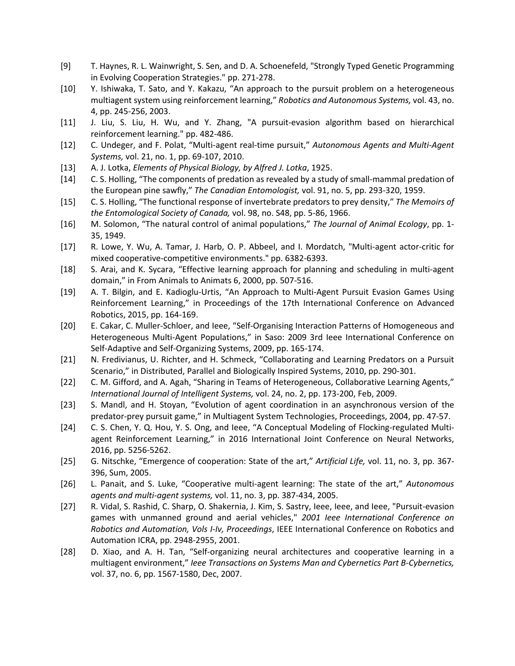- [9] T. Haynes, R. L. Wainwright, S. Sen, and D. A. Schoenefeld, "Strongly Typed Genetic Programming in Evolving Cooperation Strategies." pp. 271-278.
- [10] Y. Ishiwaka, T. Sato, and Y. Kakazu, "An approach to the pursuit problem on a heterogeneous multiagent system using reinforcement learning," *Robotics and Autonomous Systems,* vol. 43, no. 4, pp. 245-256, 2003.
- [11] J. Liu, S. Liu, H. Wu, and Y. Zhang, "A pursuit-evasion algorithm based on hierarchical reinforcement learning." pp. 482-486.
- [12] C. Undeger, and F. Polat, "Multi-agent real-time pursuit," *Autonomous Agents and Multi-Agent Systems,* vol. 21, no. 1, pp. 69-107, 2010.
- [13] A. J. Lotka, *Elements of Physical Biology, by Alfred J. Lotka*, 1925.
- [14] C. S. Holling, "The components of predation as revealed by a study of small-mammal predation of the European pine sawfly," *The Canadian Entomologist,* vol. 91, no. 5, pp. 293-320, 1959.
- [15] C. S. Holling, "The functional response of invertebrate predators to prey density," *The Memoirs of the Entomological Society of Canada,* vol. 98, no. S48, pp. 5-86, 1966.
- [16] M. Solomon, "The natural control of animal populations," *The Journal of Animal Ecology*, pp. 1-35, 1949.
- [17] R. Lowe, Y. Wu, A. Tamar, J. Harb, O. P. Abbeel, and I. Mordatch, "Multi-agent actor-critic for mixed cooperative-competitive environments." pp. 6382-6393.
- [18] S. Arai, and K. Sycara, "Effective learning approach for planning and scheduling in multi-agent domain," in From Animals to Animats 6, 2000, pp. 507-516.
- [19] A. T. Bilgin, and E. Kadioglu-Urtis, "An Approach to Multi-Agent Pursuit Evasion Games Using Reinforcement Learning," in Proceedings of the 17th International Conference on Advanced Robotics, 2015, pp. 164-169.
- [20] E. Cakar, C. Muller-Schloer, and Ieee, "Self-Organising Interaction Patterns of Homogeneous and Heterogeneous Multi-Agent Populations," in Saso: 2009 3rd Ieee International Conference on Self-Adaptive and Self-Organizing Systems, 2009, pp. 165-174.
- [21] N. Fredivianus, U. Richter, and H. Schmeck, "Collaborating and Learning Predators on a Pursuit Scenario," in Distributed, Parallel and Biologically Inspired Systems, 2010, pp. 290-301.
- [22] C. M. Gifford, and A. Agah, "Sharing in Teams of Heterogeneous, Collaborative Learning Agents," *International Journal of Intelligent Systems,* vol. 24, no. 2, pp. 173-200, Feb, 2009.
- [23] S. Mandl, and H. Stoyan, "Evolution of agent coordination in an asynchronous version of the predator-prey pursuit game," in Multiagent System Technologies, Proceedings, 2004, pp. 47-57.
- [24] C. S. Chen, Y. Q. Hou, Y. S. Ong, and Ieee, "A Conceptual Modeling of Flocking-regulated Multiagent Reinforcement Learning," in 2016 International Joint Conference on Neural Networks, 2016, pp. 5256-5262.
- [25] G. Nitschke, "Emergence of cooperation: State of the art," *Artificial Life,* vol. 11, no. 3, pp. 367-396, Sum, 2005.
- [26] L. Panait, and S. Luke, "Cooperative multi-agent learning: The state of the art," *Autonomous agents and multi-agent systems,* vol. 11, no. 3, pp. 387-434, 2005.
- [27] R. Vidal, S. Rashid, C. Sharp, O. Shakernia, J. Kim, S. Sastry, Ieee, Ieee, and Ieee, "Pursuit-evasion games with unmanned ground and aerial vehicles," *2001 Ieee International Conference on Robotics and Automation, Vols I-Iv, Proceedings*, IEEE International Conference on Robotics and Automation ICRA, pp. 2948-2955, 2001.
- [28] D. Xiao, and A. H. Tan, "Self-organizing neural architectures and cooperative learning in a multiagent environment," *Ieee Transactions on Systems Man and Cybernetics Part B-Cybernetics,* vol. 37, no. 6, pp. 1567-1580, Dec, 2007.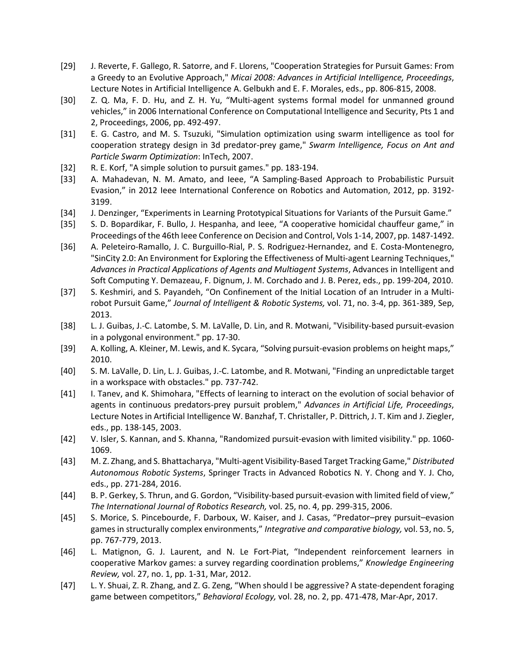- [29] J. Reverte, F. Gallego, R. Satorre, and F. Llorens, "Cooperation Strategies for Pursuit Games: From a Greedy to an Evolutive Approach," *Micai 2008: Advances in Artificial Intelligence, Proceedings*, Lecture Notes in Artificial Intelligence A. Gelbukh and E. F. Morales, eds., pp. 806-815, 2008.
- [30] Z. Q. Ma, F. D. Hu, and Z. H. Yu, "Multi-agent systems formal model for unmanned ground vehicles," in 2006 International Conference on Computational Intelligence and Security, Pts 1 and 2, Proceedings, 2006, pp. 492-497.
- [31] E. G. Castro, and M. S. Tsuzuki, "Simulation optimization using swarm intelligence as tool for cooperation strategy design in 3d predator-prey game," *Swarm Intelligence, Focus on Ant and Particle Swarm Optimization*: InTech, 2007.
- [32] R. E. Korf, "A simple solution to pursuit games." pp. 183-194.
- [33] A. Mahadevan, N. M. Amato, and Ieee, "A Sampling-Based Approach to Probabilistic Pursuit Evasion," in 2012 Ieee International Conference on Robotics and Automation, 2012, pp. 3192-3199.
- [34] J. Denzinger, "Experiments in Learning Prototypical Situations for Variants of the Pursuit Game."
- [35] S. D. Bopardikar, F. Bullo, J. Hespanha, and Ieee, "A cooperative homicidal chauffeur game," in Proceedings of the 46th Ieee Conference on Decision and Control, Vols 1-14, 2007, pp. 1487-1492.
- [36] A. Peleteiro-Ramallo, J. C. Burguillo-Rial, P. S. Rodriguez-Hernandez, and E. Costa-Montenegro, "SinCity 2.0: An Environment for Exploring the Effectiveness of Multi-agent Learning Techniques," *Advances in Practical Applications of Agents and Multiagent Systems*, Advances in Intelligent and Soft Computing Y. Demazeau, F. Dignum, J. M. Corchado and J. B. Perez, eds., pp. 199-204, 2010.
- [37] S. Keshmiri, and S. Payandeh, "On Confinement of the Initial Location of an Intruder in a Multirobot Pursuit Game," *Journal of Intelligent & Robotic Systems,* vol. 71, no. 3-4, pp. 361-389, Sep, 2013.
- [38] L. J. Guibas, J.-C. Latombe, S. M. LaValle, D. Lin, and R. Motwani, "Visibility-based pursuit-evasion in a polygonal environment." pp. 17-30.
- [39] A. Kolling, A. Kleiner, M. Lewis, and K. Sycara, "Solving pursuit-evasion problems on height maps," 2010.
- [40] S. M. LaValle, D. Lin, L. J. Guibas, J.-C. Latombe, and R. Motwani, "Finding an unpredictable target in a workspace with obstacles." pp. 737-742.
- [41] I. Tanev, and K. Shimohara, "Effects of learning to interact on the evolution of social behavior of agents in continuous predators-prey pursuit problem," *Advances in Artificial Life, Proceedings*, Lecture Notes in Artificial Intelligence W. Banzhaf, T. Christaller, P. Dittrich, J. T. Kim and J. Ziegler, eds., pp. 138-145, 2003.
- [42] V. Isler, S. Kannan, and S. Khanna, "Randomized pursuit-evasion with limited visibility." pp. 1060-1069.
- [43] M. Z. Zhang, and S. Bhattacharya, "Multi-agent Visibility-Based Target Tracking Game," *Distributed Autonomous Robotic Systems*, Springer Tracts in Advanced Robotics N. Y. Chong and Y. J. Cho, eds., pp. 271-284, 2016.
- [44] B. P. Gerkey, S. Thrun, and G. Gordon, "Visibility-based pursuit-evasion with limited field of view," *The International Journal of Robotics Research,* vol. 25, no. 4, pp. 299-315, 2006.
- [45] S. Morice, S. Pincebourde, F. Darboux, W. Kaiser, and J. Casas, "Predator–prey pursuit–evasion games in structurally complex environments," *Integrative and comparative biology,* vol. 53, no. 5, pp. 767-779, 2013.
- [46] L. Matignon, G. J. Laurent, and N. Le Fort-Piat, "Independent reinforcement learners in cooperative Markov games: a survey regarding coordination problems," *Knowledge Engineering Review,* vol. 27, no. 1, pp. 1-31, Mar, 2012.
- [47] L. Y. Shuai, Z. R. Zhang, and Z. G. Zeng, "When should I be aggressive? A state-dependent foraging game between competitors," *Behavioral Ecology,* vol. 28, no. 2, pp. 471-478, Mar-Apr, 2017.